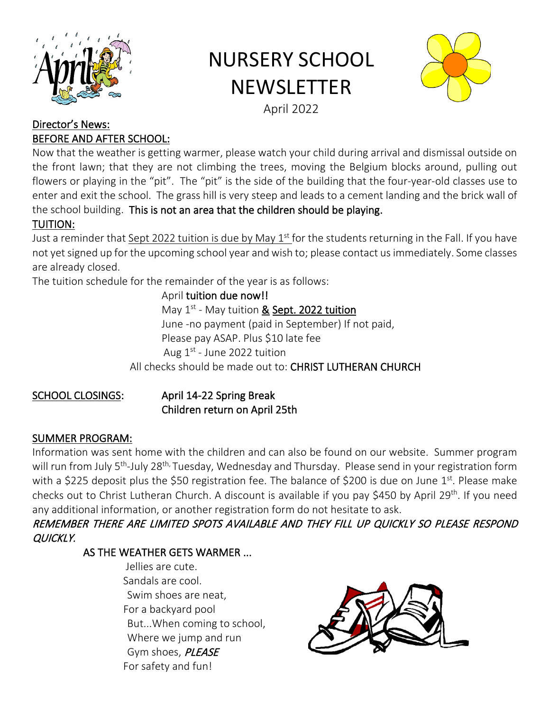

# NURSERY SCHOOL **NEWSLETTER**



# April 2022

#### Director's News: BEFORE AND AFTER SCHOOL:

Now that the weather is getting warmer, please watch your child during arrival and dismissal outside on the front lawn; that they are not climbing the trees, moving the Belgium blocks around, pulling out flowers or playing in the "pit". The "pit" is the side of the building that the four-year-old classes use to enter and exit the school. The grass hill is very steep and leads to a cement landing and the brick wall of the school building. This is not an area that the children should be playing. TUITION:

Just a reminder that Sept 2022 tuition is due by May 1<sup>st</sup> for the students returning in the Fall. If you have not yet signed up for the upcoming school year and wish to; please contact us immediately. Some classes are already closed.

The tuition schedule for the remainder of the year is as follows:

April tuition due now!! May  $1^{st}$  - May tuition & Sept. 2022 tuition June -no payment (paid in September) If not paid, Please pay ASAP. Plus \$10 late fee Aug  $1^{st}$  - June 2022 tuition All checks should be made out to: CHRIST LUTHERAN CHURCH

## SCHOOL CLOSINGS: April 14-22 Spring Break Children return on April 25th

## SUMMER PROGRAM:

Information was sent home with the children and can also be found on our website. Summer program will run from July 5<sup>th</sup>-July 28<sup>th,</sup> Tuesday, Wednesday and Thursday. Please send in your registration form with a \$225 deposit plus the \$50 registration fee. The balance of \$200 is due on June  $1<sup>st</sup>$ . Please make checks out to Christ Lutheran Church. A discount is available if you pay \$450 by April 29<sup>th</sup>. If you need any additional information, or another registration form do not hesitate to ask.

## REMEMBER THERE ARE LIMITED SPOTS AVAILABLE AND THEY FILL UP QUICKLY SO PLEASE RESPOND QUICKLY.

## AS THE WEATHER GETS WARMER ...

 Jellies are cute. Sandals are cool. Swim shoes are neat, For a backyard pool But...When coming to school, Where we jump and run Gym shoes, PLEASE For safety and fun!

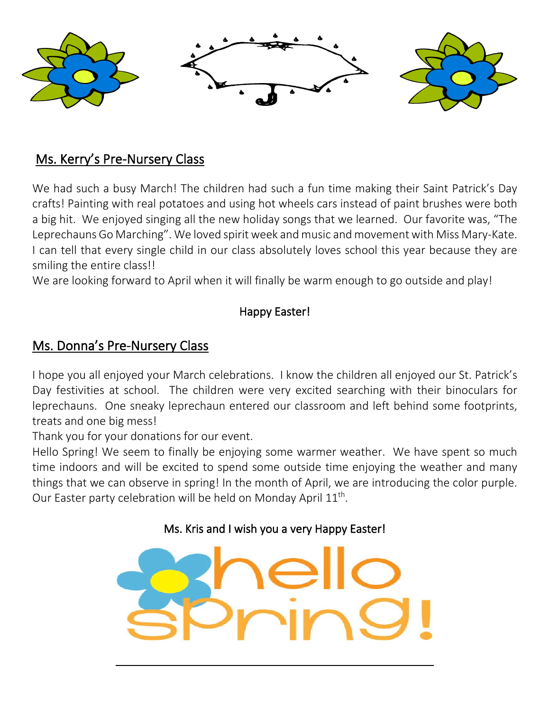

# Ms. Kerry's Pre-Nursery Class

We had such a busy March! The children had such a fun time making their Saint Patrick's Day crafts! Painting with real potatoes and using hot wheels cars instead of paint brushes were both a big hit. We enjoyed singing all the new holiday songs that we learned. Our favorite was, "The Leprechauns Go Marching". We loved spirit week and music and movement with Miss Mary-Kate. I can tell that every single child in our class absolutely loves school this year because they are smiling the entire class!!

We are looking forward to April when it will finally be warm enough to go outside and play!

# Happy Easter!

# Ms. Donna's Pre-Nursery Class

I hope you all enjoyed your March celebrations. I know the children all enjoyed our St. Patrick's Day festivities at school. The children were very excited searching with their binoculars for leprechauns. One sneaky leprechaun entered our classroom and left behind some footprints, treats and one big mess!

Thank you for your donations for our event.

Hello Spring! We seem to finally be enjoying some warmer weather. We have spent so much time indoors and will be excited to spend some outside time enjoying the weather and many things that we can observe in spring! In the month of April, we are introducing the color purple. Our Easter party celebration will be held on Monday April 11<sup>th</sup>.

# Ms. Kris and I wish you a very Happy Easter!

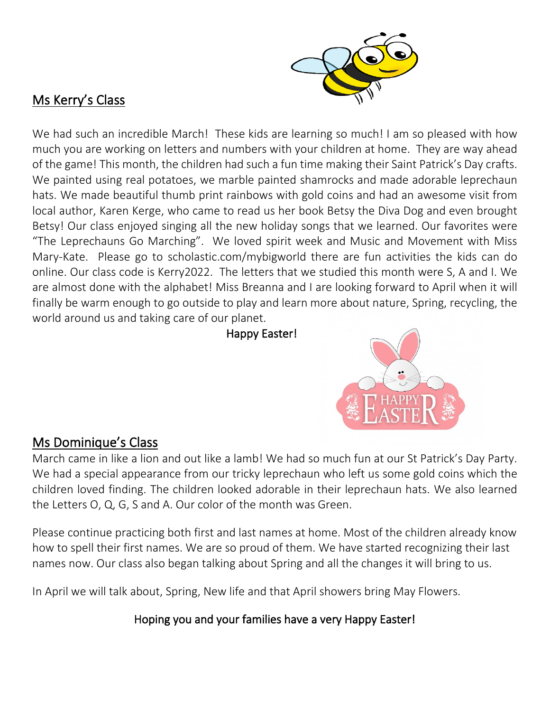

# Ms Kerry's Class

We had such an incredible March! These kids are learning so much! I am so pleased with how much you are working on letters and numbers with your children at home. They are way ahead of the game! This month, the children had such a fun time making their Saint Patrick's Day crafts. We painted using real potatoes, we marble painted shamrocks and made adorable leprechaun hats. We made beautiful thumb print rainbows with gold coins and had an awesome visit from local author, Karen Kerge, who came to read us her book Betsy the Diva Dog and even brought Betsy! Our class enjoyed singing all the new holiday songs that we learned. Our favorites were "The Leprechauns Go Marching". We loved spirit week and Music and Movement with Miss Mary-Kate. Please go to scholastic.com/mybigworld there are fun activities the kids can do online. Our class code is Kerry2022. The letters that we studied this month were S, A and I. We are almost done with the alphabet! Miss Breanna and I are looking forward to April when it will finally be warm enough to go outside to play and learn more about nature, Spring, recycling, the world around us and taking care of our planet.

## Happy Easter!



# Ms Dominique's Class

March came in like a lion and out like a lamb! We had so much fun at our St Patrick's Day Party. We had a special appearance from our tricky leprechaun who left us some gold coins which the children loved finding. The children looked adorable in their leprechaun hats. We also learned the Letters O, Q, G, S and A. Our color of the month was Green.

Please continue practicing both first and last names at home. Most of the children already know how to spell their first names. We are so proud of them. We have started recognizing their last names now. Our class also began talking about Spring and all the changes it will bring to us.

In April we will talk about, Spring, New life and that April showers bring May Flowers.

Hoping you and your families have a very Happy Easter!